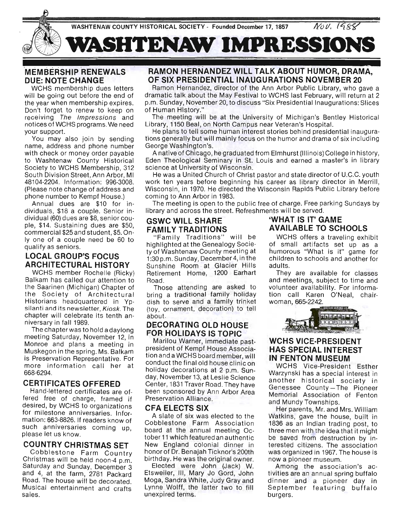

## **MEMBERSHIP RENEWALS DUE: NOTE CHANGE**

WCHS membership dues letters will be going out before the end of the year when membership expires. Don't forget to renew to keep on receiving The Impressions and notices of WCHS programs. We need your support.

You may also join by sending name, address and phone number with check or money order payable to Washtenaw County Historical Society to WCHS Membership, 312 South Division Street, Ann Arbor, MI 48104-2204. Information: 996-3008. (Please note change of address and phone number to Kempf House.)

Annual dues are \$10 for individuals, \$18 a couple. Senior individual (60) dues are \$8, senior couple, \$14. Sustaining dues are \$50, commercial \$25 and student, \$5. Only one of a couple need be 60 to qualify as seniors.

## **LOCAL GROUP'S FOCUS ARCHITECTURAL HISTORY**

WCHS member Rochelle (Ricky) Balkam has called our attention to the Saarinen (Michigan) Chapter of the Society of Architectural Historians headquartered in Ypsilanti and its newsletter, Kiosk. The chapter will celebrate its tenth anniversary in fall 1989.

The chapter was to hold a daylong meeting Saturday, November 12, in Monroe and plans a meeting in Muskegon in the spring. Ms. Balkam is Preservation Representative. For more information call her at 668-6294.

## **CERTIFICATES OFFERED**

Hand-lettered certificates are offered free of charge, framed if desired, by WCHS to organizations for milestone anniversaries. Information: 663-8826. If readers know of such anniversaries coming up, please let us know.

## **COUNTRY CHRISTMAS SET**

Cobblestone Farm Country Christmas will be held noon-4 p.m. Saturday and Sunday, December 3 and 4, at the farm, 2781 Packard Road. The house will be decorated. Musical entertainment and crafts sales.

## **RAMON HERNANDEZ WILL TALK ABOUT HUMOR, DRAMA, OF SIX PRESIDENTIAL INAUGURATIONS NOVEMBER 20**

Ramon Hernandez, director of the Ann Arbor Public Library, who gave a dramatic talk about the May Festival to WCHS last February, will return at 2 p.m. Sunday, November 20, to discuss "Six Presidential Inaugurations: Slices of Human History."

The meeting will be at the University of Michigan's Bentley Historical Library, 1150 Beal, on North Campus near Veteran's Hospital.

He plans to tell some human interest stories behind presidential inaugurations generally but will mainly focus on the humor and drama of six including George Washington's.

A native of Chicago, he graduated from Elmhurst (Illinois) College in history, Eden Theological Seminary in St. Louis and earned a master's in library science at University of Wisconsin.

He was a United Church of Christ pastor and state director of U.C.C. youth work ten years before beginning his career as library director in Merrill, Wisconsin , in 1970. He directed the Wisconsin Rapids Public Library before coming to Ann Arbor in 1983.

The meeting is open to the public free of charge. Free parking Sundays by library and across the street. Refreshments will be served.

highlighted at the Genealogy Socie- of small artifacts set up as a ty of Washtenaw County meeting at humorous "What is it" game for 1 :30 p.m. Sunday, December 4, in the chi Idren to schools and another for Sunshine Room at Glacier Hills adults. Retirement Home, 1200 Earhart They are available for classes

bring a traditional family holiday tion call Karen O'Neal, chair· dish to serve and a family trinket woman, 665·2242. (toy, ornament, decoration) to tell about.

### **DECORATING OLD HOUSE FOR HOLIDAYS IS TOPIC**

Marilou Warner, immediate past· president of Kempf House Associa· tion and a WCHS board member, will conduct the final old house clinic on holiday decorations at 2 p.m. Sunday, November 13, at Leslie Science Center, 1831 Traver Road. They have been sponsored by Ann Arbor Area Preservation Alliance.

### **CFA ELECTS SIX**

A slate of six was elected to the Cobblestone Farm Association board at the annual meeting October 11 which featured an authentic New England colonial dinner in honor of Dr. Benajah Ticknor's 200th birthday. He was the original owner.

Elected were John (Jack) W. Etsweiler, III, Mary Jo Gord, John Moga, Sandra White, Judy Gray and Lynne Wolff, the latter two to fill unexpired terms.

## **GSWC WILL SHARE 'WHAT IS IT' GAME FAMILY TRADITIONS AVAILABLE TO SCHOOLS**

" Family Traditions" will be WCHS offers a traveling exhibit

Road. and meetings, subject to time and Those attending are asked to volunteer availability. For informa·



## **WCHS VICE·PRESIDENT HAS SPECIAL INTEREST IN FENTON MUSEUM**

WCHS Vice-President Esther Warzynski has a special interest in another historical society in Genessee County-The Pioneer Memorial Association of Fenton and Mundy Townships.

Her parents, Mr. and Mrs. William Watkins, gave the house, built in 1836 as an Indian trading post, to three men with the idea that it might be saved from destruction by interested citizens. The association was organized in 1967. The house is now a pioneer museum.

Among the association's ac· tivities are an annual spring buffalo dinner and a pioneer day in September featuring buffalo burgers.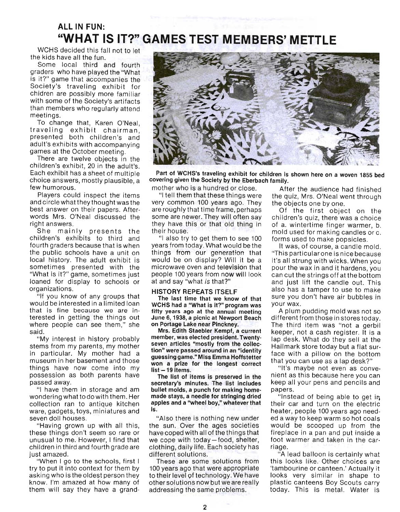## ALL IN FUN: "WHAT IS IT?" GAMES TEST MEMBERS' METTLE  $W = \frac{1}{2}$

**The kids have all the funded**  $\frac{1}{3}$ s local the full.

sume rocal mira and fourth graders who have played the "What is it?" game that accompanies the Society's traveling exhibit for<br>chidren are possibly more familiar where  $\alpha$  is the Society's artifacts in  $\alpha$ the source of the society's artifacts  $\overline{a}$ than members who regularly attend<br>meetings. To change that, Karen O'Neal,

to change that, Karen O'Neal, traveling exhibit chairman. presented both children's and adult's exhibits with accompanying<br>games at the October meeting. there are twelve objecting.

children's exhibit, 20 is the adult of the adult of the adult of the adult of the adult of the adult of the adult of the adult of the adult of the adult of the adult of the adult of the adult of the adult of the adult of t children's exhibit, 20 in the adult's.<br>Each exhibit has a sheet of multiple ach exhibit has a sheet of multiple.<br>Place answers, mostly plants in the  $10106$  disweis,  $1$ Players could inspect the' items

Players could inspect the items and circle what they thought was the best answer on their papers. Afterwords Mrs. O'Neal discussed the<br>right answers t answers.<br>he masielly presents the th

one mainly presents the children's exhibits to third and fourth graders because that is when the public schools have a unit on local history. The adult exhibit is sometimes presented with the "What is it?" game, sometimes just loaned for display to schools or<br>organizations. "If you know of any groups that

would know of any groups that would be interested in a limited loan that is fine because we are interested in getting the things out where people can see them," she<br>said. "My interest in history probably probably probably probably probably probably probably probably probably probably probably probably probably probably probably probably probably probably probably probably probably probably

stems from my merest in mistory probably stems from my parents, my mother in particular. My mother had a museum in her basement and those things have now come into my possession as both parents have<br>passed away. ed away.<br>''

 $\alpha$  have them in storage and am wondering what to do with them. Her collection ran to antique kitchen ware, gadgets, toys, miniatures and<br>seven doll houses. "Having grown up with all this,

"Having grown up with all this, these things don't seem so rare or unusual to me. However, I find that children in third and fourth grade are<br>just amazed. amazed.<br>When I go to the schools, first I go to the schools, first I go to the schools.

 $t$  vinen it go to the schools, first for  $t$ try to put it into context for them by asking who is the oldest person they know. I'm amazed at how many of them will say they have a grand-



Part of WCHS's traveling exhibit for children is shown in  $\mathbb{R}^n$ . covering given the Society by the Eberbach family.<br>mother who is a hundred or close. After

very common 100 years ago. They<br>are roughly that time frame, perhaps are roughly that time frame, perhaps contained first object on the some are newer. They will often say children's quiz, there was a choice some are newer. They will often say children's quiz, there was a choice<br>they have this or that old thing in of a. wintertime finger warmer, b.

"I also try to get them to see 100 forms used to make popsicles.<br>years from today. What would be the It was, of course, a candle m years from today. What would be the lit was, of course, a candle mold.<br>things from our generation that "This particular one is nice because things from our generation that "Thisparticularone is nice because<br>would be on display? Will it be a it's all strung with wicks. When you would be on display? Will it be a it's all strung with wicks. When you<br>microwave oven and television that pour the wax in and it hardens, you microwave oven and television that pour the wax in and it hardens, you<br>people 100 years from now will look can cut the strings off at the bottom

The last time that we know of that  $\frac{S U r e y O U}{S V}$ <br>CHS had a "What is it?" program was your wax. fifty years ago at the annual meeting A plum pudding mold was not so fifty years ago at the annual meeting<br>June 6, 1938, a picnic at Newport Beach June 6, 1938, a picnic at Newport Beach different from those in stores today.<br>
on Portage Lake near Pinckney. The third item was "not a gerbill

mirs. Edith Staebler Kempf, a current leeper, not a cash register. It is a<br>member, was elected president. Twenty- lap desk. What do they sell at the member, was elected president. I wenty-<br>seven articles "mostly from the collec- Hallmark store today but a flat surseven anicles mostly from the collect Hallmark store today but a flat surfund in an "identity face with a pillow on the bottom guessing game." Miss Emma Hoffstetter and with a phone on the bottom with a phone of the bottom and the bottom o won a prize for the longest correct<br> $list -19$  items.

secretary's minutes. The list includes a Keep all<br>bullet molds, a punch for making home- papers. bullet molds, a punch for making home-<br>made stays, a needle for stringing dried made stays, a needle for stringing dried "lnstead of being able to get in apples and a "wheel boy," whatever that their car and turn on the electric apples and a "wheel boy," whatever that if their carrand furn on the electric<br>fis. heater neonle 100 years ago need-

the sun. Over the ages societies would be scooped up from the have coped with all of the things that fireplace in a pan and put inside a<br>we cope with today—food, shelter, foot warmer and taken in the carwe cope with today—food, shelter, foot v<br>clothing, daily life. Each society has riage. clothing, daily life. Each society has<br>different solutions.

These are some solutions from this looks like. Other choices are<br>100 years ago that were appropriate 'tambourine or canteen.' Actually it to their level9f technology. We have looks very similar in shape to to their level of technology. We have looks very similar in shape to other solutions now but we are really plastic canteens Boy Scouts carry othersolutions now but we are really betain canteens Boy Scouts carry<br>addressing the same problems. This is metal. Water is

other who is a hundred or close. After the audience had finished<br>"I tell them that these things were the quiz, Mrs. O'Neal went through the quiz, Mrs. O'Neal went through<br>the objects one by one.

they have this or that old thing in of a, wintertime finger warmer, b.<br>their house. mold used for making candles or c. "I also try to get them to see 100 forms used to make popsicles.

people 100 years from n**ow wi**ll look can cut the strings off at the bottom<br>at and say "what *is* that?" and just lift the candle out. This also has a tamper to use to make HISTORY REPEATS ITSELF<br>The last time that we know of that sure you don't have air bubbles in

**Portage Lake near Pinckney.** The third item was "not a gerbill<br>Mrs. Edith Staebler Kempf, a current a keeper, not a cash register. It is a face with a pillow on the bottom

"It's maybe not even as conve-<br>nient as this because here you can The list of items is preserved in the structure in Secause here you can<br>cretary's minutes. The list includes streep all your pens and pencils and

- heater, people 100 years ago need<br>Also there is nothing new under ed a way to keep warm so hot coals." would be scooped up from the<br>fireplace in a pan and put inside a

These are some solutions from this looks like. Other choices are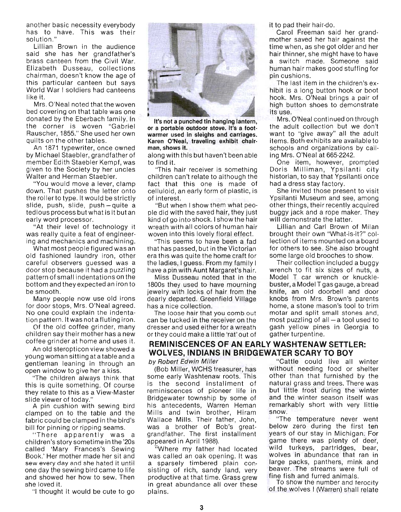another basic necessity everybody has to have. This was their solution."

Lillian Brown in the audience said she has her grandfather's brass canteen from the Civil War. Elizabeth Dusseau, collections chairman, doesn't know the age of this particular canteen but says World War I soldiers had canteens like it.

Mrs. O'Neal noted that the woven bed covering on that table was one donated by the Eberbach family. In the corner is woven "Gabriel Rauscher, 1855." She used her own quilts on the other tables.

An 1871 typewriter, once owned by MichaelStaebler, grandfather of member Edith Staebler Kempf, was given to the Society by her uncles Walter and Herman Staebler.

"You would move a lever, clamp down. That pushes the letter onto the roller to type . It would be strictly slide, push, slide, push-quite a tedious process but what is it but an early word processor.

"At their level of technology it was really quite a feat of engineering and mechanics and machining.

What most people figured was an old fashioned laundry iron, other careful observers guessed was a door stop because it had a puzzling pattern of small indentations on the bottom and they expected an iron to be smooth .

Many people now use old irons for door stops, Mrs. O'Neal agreed. No one could explain the indentation pattern. It was not a fluting iron.

Of the old coffee grinder, many children say their mother has a new coffee grinder at home and uses it.

An old steropticon view showed a young woman sitting at a table and a gentleman leaning in through an open window to give her a kiss.

"The children always think that this is quite something. Of course they relate to this as a View-Master slide viewer of today."

A pin cushion with sewing bird clamped on to the table and the fabric could be clamped in the bird's bill for pinning or ripping seams.

" There apparently was a children's story sometime in the '20s called 'Mary Frances's Sewing Book.' Her mother made her sit and sew every day and she hated it until one day the sewing bird came to life and showed her how to sew. Then she loved it.

"I thought it would be cute to go



or a portable outdoor stove. It's a foot. the adult collection but we don't warmer used in sleighs and carriages. Want to "give away" all the adult Karen O'Neal, traveling exhibit chair· items. Both exhibits are available to man, shows it. schools and organizations by call-

along with this but haven't been able ing Mrs. O'Neal at 665-2242.

children can't relate to although the historian, to say that Ypsilanti once fact that this one is made of had a dress stay factory. celluloid, an early form of plastic, is She invited those present to visit of interest. Ypsilanti Museum and see, among

pie did with the saved hair, they just buggy jack and a rope maker. They kind of go into shock. I show the hair will demonstrate the latter. wreath with all colors of human hair Lillian and Carl Brown of Milan woven into this lovely floral effect. brought their own "What-is-it?" col-

that has passed, but in the Victorian for others to see. She also brought erathis was quite the home craft for some large old brooches to show. the ladies, I guess. From my family I Their collection included a buggy have a pin with Aunt Margaret's hair. wrench to fit six sizes of nuts, a

1800s they used to have mourning buster, a ModelT gas gauge, a bread jewelry with locks of hair from the knife, an old doorbell and door dearly departed. Greenfield Village knobs from Mrs. Brown's parents has a nice collection. home, a stone mason's tool to trim

can be tucked in the receiver on the most puzzling of all- a tool used to dresser and used either for a wreath gash yellow pines in Georgia to or they could make a little 'rat' out of gather turpentine.

# **REMINISCENCES OF AN EARLY WASHTENAW SETTLER: WOLVES, INDIANS IN BRIDGEWATER SCARY TO BOY**

some early Washtenaw roots. This other than that furnished by the is the second installment of natural grass and trees. There was reminiscences of pioneer life in but little frost during the winter Bridgewater township by some of and the winter season itself was his antecedents, Warren Heman remarkably short with very little Mills and twin brother, Hiram snow. Wallace Mills. Their father, John, "The temperature never went was a brother of Bob's great- below zero during the first ten grandfather. The first installment years of our stay in Michigan. For appeared in April 1988). game there was plenty of deer,

was called an oak opening. It was wolves in abundance that ran in a sparsely timbered plain con- large packs, panthers, mink and sisting of rich, sandy land, very beaver. The streams were full of productive at that time. Grass grew fine fish and furred animals. in great abundance all over these To show the number and ferocity plains. **Example 20** of the wolves I (Warren) shall relate

it to pad their hair-do.

Carol Freeman said her grandmother saved her hair against the time when, as she got older and her hair thinner, she might have to have a switch made. Someone said human hair makes good stuffing for pin cushions.

The last item in the children's exhibit is a long button hook or boot hook. Mrs. O'Neal brings a pair of high button shoes to demonstrate its use.

It's not a punched tin hanging lantern, Mrs. O'Neal continued on through

to find it. One item, however, prompted "This hair receiver is something Doris Milliman, Ypsilanti city

"But when I show them what peo- other things, their recently acquired

"This seems to have been a fad lection of items mounted on a board

Miss Dusseau noted that in the Model T car wrench or knuckle-The loose hair that you comb out motar and split small stones and,

by Robert Edwin Miller ... The "Cattle could live all winter (Bob Miller, WCHS treasurer, has without needing food or shelter

Where my father had located wild turkeys, partridges, bear,